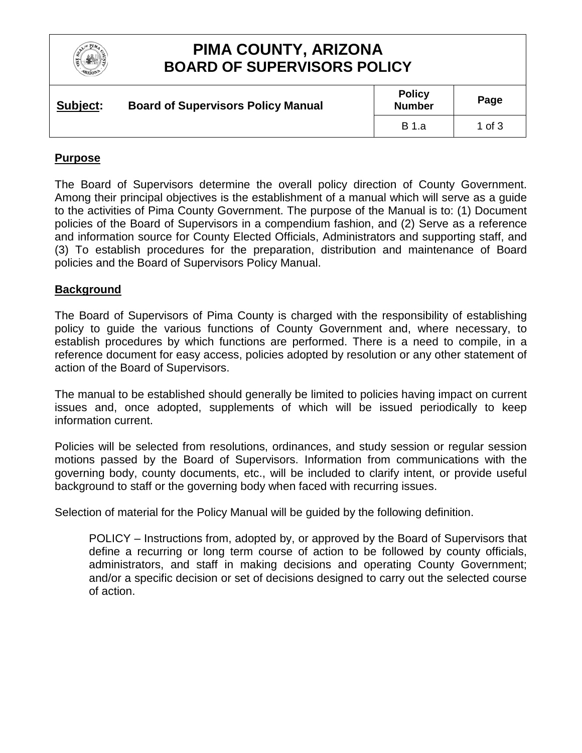

# **PIMA COUNTY, ARIZONA BOARD OF SUPERVISORS POLICY**

| Subject: | <b>Board of Supervisors Policy Manual</b> | <b>Policy</b><br><b>Number</b> | Page   |
|----------|-------------------------------------------|--------------------------------|--------|
|          |                                           | B 1.a                          | 1 of 3 |

### **Purpose**

The Board of Supervisors determine the overall policy direction of County Government. Among their principal objectives is the establishment of a manual which will serve as a guide to the activities of Pima County Government. The purpose of the Manual is to: (1) Document policies of the Board of Supervisors in a compendium fashion, and (2) Serve as a reference and information source for County Elected Officials, Administrators and supporting staff, and (3) To establish procedures for the preparation, distribution and maintenance of Board policies and the Board of Supervisors Policy Manual.

#### **Background**

The Board of Supervisors of Pima County is charged with the responsibility of establishing policy to guide the various functions of County Government and, where necessary, to establish procedures by which functions are performed. There is a need to compile, in a reference document for easy access, policies adopted by resolution or any other statement of action of the Board of Supervisors.

The manual to be established should generally be limited to policies having impact on current issues and, once adopted, supplements of which will be issued periodically to keep information current.

Policies will be selected from resolutions, ordinances, and study session or regular session motions passed by the Board of Supervisors. Information from communications with the governing body, county documents, etc., will be included to clarify intent, or provide useful background to staff or the governing body when faced with recurring issues.

Selection of material for the Policy Manual will be guided by the following definition.

POLICY – Instructions from, adopted by, or approved by the Board of Supervisors that define a recurring or long term course of action to be followed by county officials, administrators, and staff in making decisions and operating County Government; and/or a specific decision or set of decisions designed to carry out the selected course of action.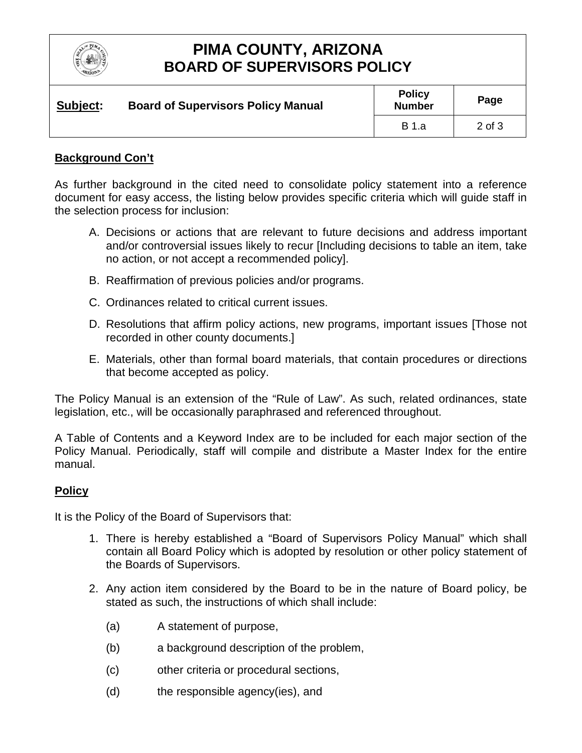

# **PIMA COUNTY, ARIZONA BOARD OF SUPERVISORS POLICY**

| Subject: | <b>Board of Supervisors Policy Manual</b> | <b>Policy</b><br><b>Number</b> | Page       |
|----------|-------------------------------------------|--------------------------------|------------|
|          |                                           | <b>B</b> 1.a                   | $2$ of $3$ |

### **Background Con't**

As further background in the cited need to consolidate policy statement into a reference document for easy access, the listing below provides specific criteria which will guide staff in the selection process for inclusion:

- A. Decisions or actions that are relevant to future decisions and address important and/or controversial issues likely to recur [Including decisions to table an item, take no action, or not accept a recommended policy].
- B. Reaffirmation of previous policies and/or programs.
- C. Ordinances related to critical current issues.
- D. Resolutions that affirm policy actions, new programs, important issues [Those not recorded in other county documents.]
- E. Materials, other than formal board materials, that contain procedures or directions that become accepted as policy.

The Policy Manual is an extension of the "Rule of Law". As such, related ordinances, state legislation, etc., will be occasionally paraphrased and referenced throughout.

A Table of Contents and a Keyword Index are to be included for each major section of the Policy Manual. Periodically, staff will compile and distribute a Master Index for the entire manual.

## **Policy**

It is the Policy of the Board of Supervisors that:

- 1. There is hereby established a "Board of Supervisors Policy Manual" which shall contain all Board Policy which is adopted by resolution or other policy statement of the Boards of Supervisors.
- 2. Any action item considered by the Board to be in the nature of Board policy, be stated as such, the instructions of which shall include:
	- (a) A statement of purpose,
	- (b) a background description of the problem,
	- (c) other criteria or procedural sections,
	- (d) the responsible agency(ies), and